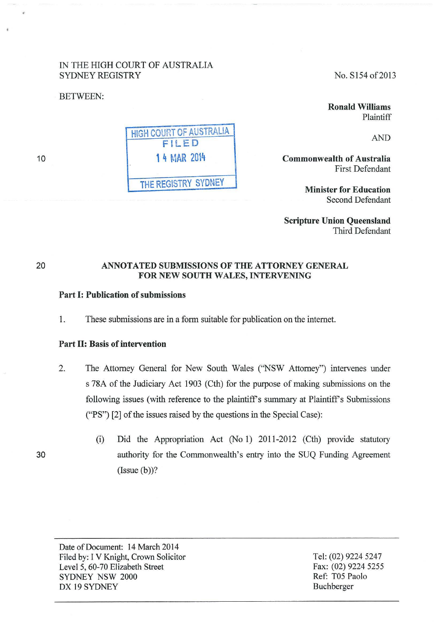# IN THE HIGH COURT OF AUSTRALIA SYDNEY REGISTRY

BETWEEN:

No. S154 of 2013

Ronald Williams Plaintiff

AND

Commonwealth of Australia First Defendant

> Minister for Education Second Defendant

Scripture Union Queensland Third Defendant

# ANNOTATED SUBMISSIONS OF THE ATTORNEY GENERAL FOR NEW SOUTH WALES, INTERVENING

# Part I: Publication of submissions

1. These submissions are in a form suitable for publication on the internet.

# Part II: Basis of intervention

- 2. The Attorney General for New South Wales ("NSW Attorney") intervenes under s 78A of the Judiciary Act 1903 (Cth) for the purpose of making submissions on the following issues (with reference to the plaintiff's summary at Plaintiff's Submissions ("PS") [2] of the issues raised by the questions in the Special Case):
	- (i) Did the Appropriation Act (No 1) 2011-2012 (Cth) provide statutory authority for the Commonwealth's entry into the SUQ Funding Agreement  $(Issue(b))$ ?

Date of Document: 14 March 2014 Filed by: I V Knight, Crown Solicitor Level 5, 60-70 Elizabeth Street SYDNEY NSW 2000 DX 19 SYDNEY

Tel: (02) 9224 5247 Fax: (02) 9224 5255 Ref: T05 Paolo Buchberger

HIGH COURT OF AUSTRALIA FILED 1 4 MAR 2014 THE REGISTRY SYDNEY

20

10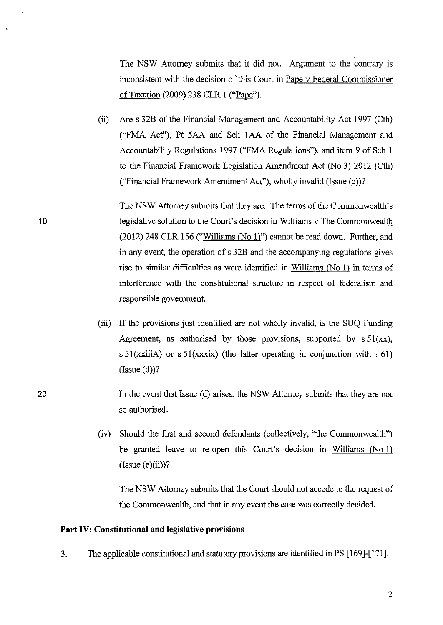The NSW Attorney submits that it did not. Argument to the contrary is inconsistent with the decision of this Court in Pape v Federal Commissioner ofTaxation (2009) 238 CLR 1 ("Pape").

(ii) Are s 32B of the Financial Management and Accountability Act 1997 (Cth) ("FMA Act"), Pt 5AA and Sch 1AA of the Financial Management and Accountability Regulations 1997 ("FMA Regulations"), and item 9 of Sch I to the Financial Framework Legislation Amendment Act (No 3) 2012 (Cth) ("Financial Framework Amendment Act"), wholly invalid (Issue (c))?

The NSW Attorney submits that they are. The terms of the Commonwealth's legislative solution to the Court's decision in Williams v The Commonwealth (2012) 248 CLR 156 ("Williams (No 1)") cannot be read down. Further, and in any event, the operation of s 32B and the accompanying regulations gives rise to similar difficulties as were identified in Williams (No 1) in tenns of interference with the constitutional structure in respect of federalism and responsible government.

- (iii) If the provisions just identified are not wholly invalid, is the SUQ Funding Agreement, as authorised by those provisions, supported by  $s \, 51(xx)$ , s 51(xxiiiA) or s 51(xxxix) (the latter operating in conjunction with s 61)  $(Issue(d))$ ?
- In the event that Issue (d) arises, the NSW Attorney submits that they are not so authorised.
	- (iv) Should the first and second defendants (collectively, "the Commonwealth") be granted leave to re-open this Court's decision in Williams (No 1)  $(Issue (e)(ii))$ ?

The NSW Attorney submits that the Court should not accede to the request of the Commonwealth, and that in any event the case was correctly decided.

## **Part IV: Constitutional and legislative provisions**

3. The applicable constitutional and statutory provisions are identified in PS [169]-[171].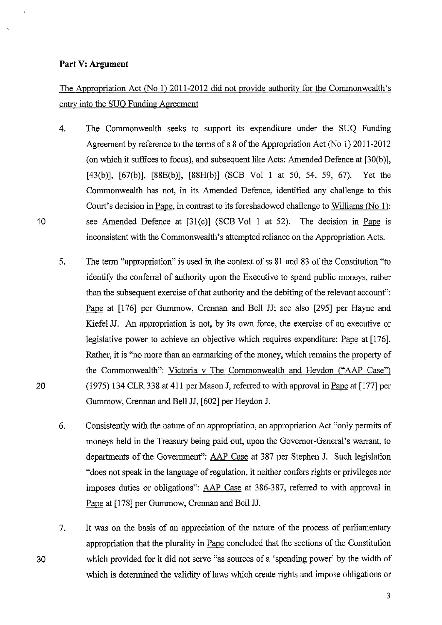## **Part V: Argument**

# The Appropriation Act (No 1) 2011-2012 did not provide authoritv for the Commonwealth's entrv into the SUO Funding Agreement

- 4. The Commonwealth seeks to support its expenditure under the SUQ Funding Agreement by reference to the terms of s 8 of the Appropriation Act (No 1) 2011-2012 (on which it suffices to focus), and subsequent like Acts: Amended Defence at [30(b)], [43(b)], [67(b)], [88E(b)], [88H(b)] (SCB Vol 1 at 50, 54, 59, 67). Yet the Commonwealth has not, in its Amended Defence, identified any challenge to this Court's decision in Pape, in contrast to its foreshadowed challenge to Williams *(No* ]): see Amended Defence at [31(c)] (SCB Vol 1 at 52). The decision in Pape is inconsistent with the Commonwealth's attempted reliance on the Appropriation Acts.
- 5. The term "appropriation" is used in the context of ss 81 and 83 of the Constitution "to identify the conferral of authority upon the Executive to spend public moneys, rather than the subsequent exercise of that authority and the debiting of the relevant account": Pape at [176] per Gummow, Crennan and Bell JJ; see also [295] per Hayne and Kiefel JJ. An appropriation is not, by its own force, the exercise of an executive or legislative power to achieve an objective which requires expenditure: Pape at [176]. Rather, it is "no more than an earmarking of the money, which remains the property of the Commonwealth": Victoria v The Commonwealth and Heydon ("AAP Case") (!975) 134 CLR 338 at 411 per Mason J, referred to with approval in Pape at [177] per Gummow, Crennan and Bell JJ, [602] per Heydon J.
- 6. Consistently with the nature of an appropriation, an appropriation Act "only permits of moneys held in the Treasury being paid out, upon the Governor-General's warrant, to departments of the Government": AAP Case at 387 per Stephen J. Such legislation "does not speak in the language of regulation, it neither confers rights or privileges nor imposes duties or obligations": AAP Case at 386-387, referred to with approval in Pape at [178] per Gummow, Crennan and Bell JJ.
- 7. It was on the basis of an appreciation of the nature of the process of parliamentary appropriation that the plurality in Pape concluded that the sections of the Constitution which provided for it did not serve "as sources of a 'spending power' by the width of which is determined the validity of laws which create rights and impose obligations or

30

20

10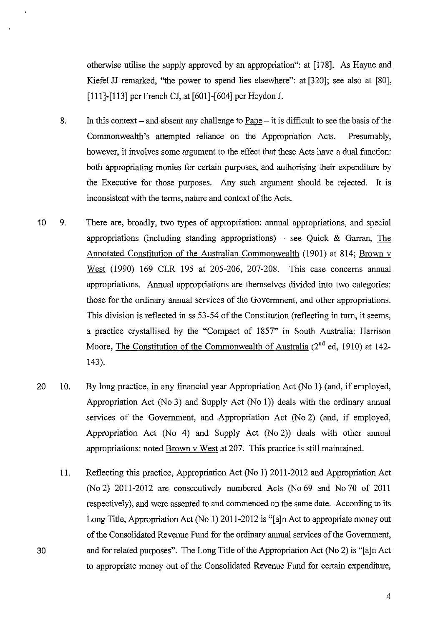otherwise utilise the supply approved by an appropriation": at [178]. As Hayne and Kiefel JJ remarked, "the power to spend lies elsewhere": at [320]; see also at [80], [111]-[113] per French CJ, at [601]-[604] per Heydon J.

- 8. In this context and absent any challenge to Pape it is difficult to see the basis of the Commonwealth's attempted reliance on the Appropriation Acts. Presumably, however, it involves some argument to the effect that these Acts have a dual function: both appropriating monies for certain purposes, and authorising their expenditure by the Executive for those purposes. Any such argument should be rejected. It is inconsistent with the terms, nature and context of the Acts.
- 10 9. There are, broadly, two types of appropriation: annual appropriations, and special appropriations (including standing appropriations)  $-$  see Quick & Garran, The Annotated Constitution of the Australian Commonwealth (1901) at 814; Brown v West (1990) 169 CLR 195 at 205-206, 207-208. This case concerns annual appropriations. Annual appropriations are themselves divided into two categories: those for the ordinary annual services of the Government, and other appropriations. This division is reflected in ss 53-54 of the Constitution (reflecting in turn, it seems, a practice crystallised by the "Compact of 1857" in South Australia: Harrison Moore, The Constitution of the Commonwealth of Australia  $(2^{nd}$  ed, 1910) at 142-143).
- 20 10. By long practice, in any financial year Appropriation Act (No I) (and, if employed, Appropriation Act (No 3) and Supply Act (No I)) deals with the ordinary annual services of the Government, and Appropriation Act (No 2) (and, if employed, Appropriation Act (No 4) and Supply Act (No 2)) deals with other annual appropriations: noted Brown v West at 207. This practice is still maintained.
	- II. Reflecting this practice, Appropriation Act (No I) 2011-2012 and Appropriation Act (No 2) 2011-2012 are consecutively numbered Acts (No 69 and No 70 of 2011 respectively), and were assented to and commenced on the same date. According to its Long Title, Appropriation Act (No I) 2011-2012 is "[a]n Act to appropriate money out of the Consolidated Revenue Fund for the ordinary annual services of the Government, and for related purposes". The Long Title of the Appropriation Act (No 2) is "[a ]n Act to appropriate money out of the Consolidated Revenue Fund for certain expenditure,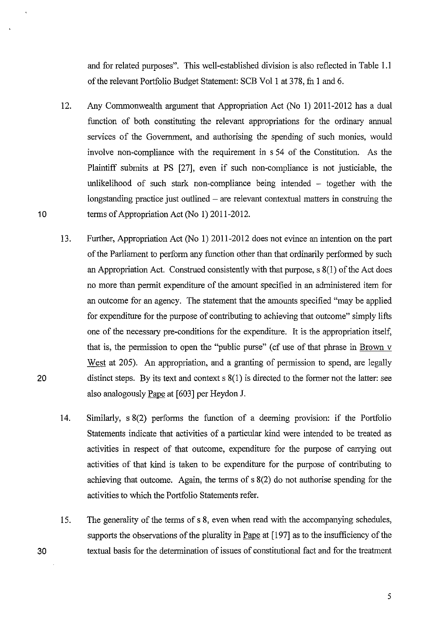and for related purposes". This well-established division is also reflected in Table 1.1 of the relevant Portfolio Budget Statement: SCB Vol! at 378, fn **1** and 6.

- 12. Any Commonwealth argument that Appropriation Act (No **1)** 2011-2012 has a dual function of both constituting the relevant appropriations for the ordinary annual services of the Government, and authorising the spending of such monies, would involve non-compliance with the requirement in s 54 of the Constitution. As the Plaintiff submits at PS [27], even if such non-compliance is not justiciable, the unlikelihood of such stark non-compliance being intended – together with the longstanding practice just outlined  $-$  are relevant contextual matters in construing the terms of Appropriation Act (No **1)** 2011-2012.
- 13. Further, Appropriation Act (No **1)** 2011-2012 does not evince an intention on the part of the Parliament to perform any function other than that ordinarily performed by such an Appropriation Act. Construed consistently with that purpose, s 8(1) of the Act does no more than permit expenditure of the amount specified in an administered item for an outcome for an agency. The statement that the amounts specified "may be applied for expenditure for the purpose of contributing to achieving that outcome" simply lifts one of the necessary pre-conditions for the expenditure. It is the appropriation itself, that is, the permission to open the "public purse" ( cf use of that phrase in Brown v West at 205). An appropriation, and a granting of permission to spend, are legally distinct steps. By its text and context  $s(1)$  is directed to the former not the latter: see also analogously Pape at [603] per Heydon **J.**
- **14.**  Similarly,  $s(2)$  performs the function of a deeming provision: if the Portfolio Statements indicate that activities of a particular kind were intended to be treated as activities in respect of that outcome, expenditure for the purpose of canying out activities of that kind is taken to be expenditure for the purpose of contributing to achieving that outcome. Again, the terms of s 8(2) do not authorise spending for the activities to which the Portfolio Statements refer.
- 15. The generality of the terms of s 8, even when read with the accompanying schedules, supports the observations of the plurality in Pape at [197] as to the insufficiency of the textual basis for the determination of issues of constitutional fact and for the treatment

20

30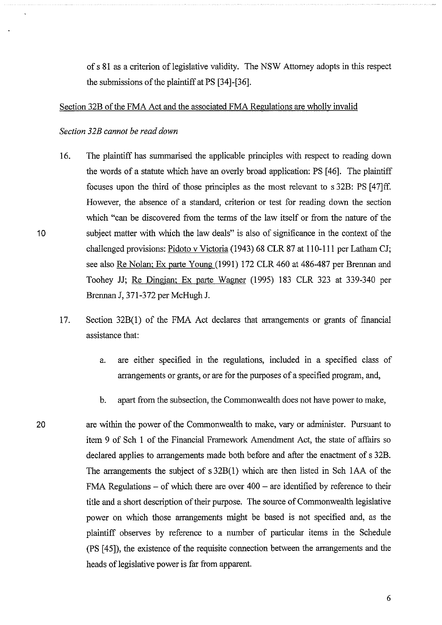of s 81 as a criterion of legislative validity. The NSW Attorney adopts in this respect the submissions of the plaintiff at PS [34]-[36].

#### Section 32B of the FMA Act and the associated FMA Regulations are wholly invalid

*Section 32B cannot be read down* 

- 16. The plaintiff has summarised the applicable principles with respect to reading down the words of a statute which have an overly broad application: PS [ 46]. The plaintiff focuses upon the third of those principles as the most relevant to s 32B: PS [47]ff. However, the absence of a standard, criterion or test for reading down the section which "can be discovered from the terms of the law itself or from the nature of the subject matter with which the law deals" is also of significance in the context of the challenged provisions: Pidoto v Victoria (1943) 68 CLR 87 at 110-111 per Latham CJ; see also Re Nolan; Ex parte Young (1991) 172 CLR 460 at 486-487 per Brennan and Toohey JJ; Re Dingjan; Ex parte Wagner (1995) 183 CLR 323 at 339-340 per Brennan J, 371-372 per McHugh J.
- 17. Section 32B(l) of the FMA Act declares that anangements or grants of financial assistance that:
	- a. are either specified in the regulations, included in a specified class of arrangements or grants, or are for the purposes of a specified program, and,
	- b. apatt from the subsection, the Commonwealth does not have power to make,
- 20 are within the power of the Commonwealth to make, vary or administer. Pursuant to item 9 of Sch 1 of the Financial Framework Amendment Act, the state of affairs so declared applies to arrangements made both before and after the enactment of s 32B. The arrangements the subject of s 32B(l) which are then listed in Sch lAA of the FMA Regulations  $-$  of which there are over  $400 -$  are identified by reference to their title and a short description of their purpose. The source of Commonwealth legislative power on which those arrangements might be based is not specified and, as the plaintiff observes by reference to a number of particular items in the Schedule (PS [ 45]), the existence of the requisite connection between the arrangements and the heads of legislative power is far from apparent.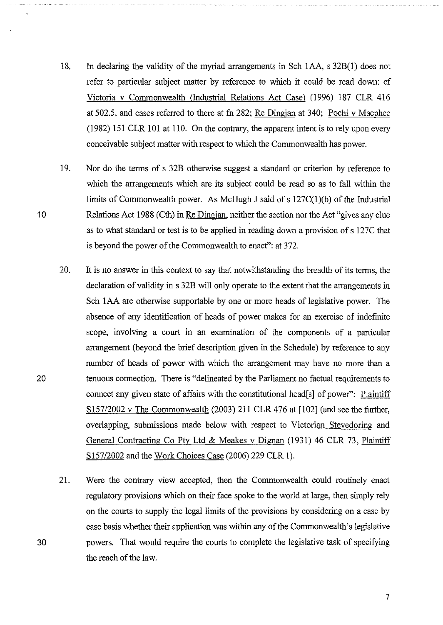- 18. In declaring the validity of the myriad arrangements in Sch 1AA, s 32B(1) does not refer to particular subject matter by reference to which it could be read down: cf Victoria v Commonwealth (Industrial Relations Act Case) (1996) 187 CLR 416 at 502.5, and cases referred to there at fu 282; Re Dingjan at 340; Pochi v Macphee (1982) 151 CLR 101 at 110. On the contrary, the apparent intent is to rely upon every conceivable subject matter with respect to which the Commonwealth has power.
- 19. Nor do the terms of s 32B othetwise suggest a standard or criterion by reference to which the arrangements which are its subject could be read so as to fall within the limits of Commonwealth power. As McHugh J said of s 127C(1 )(b) of the Industrial Relations Act 1988 (Cth) in Re Dingjan, neither the section nor the Act "gives any clue as to what standard or test is to be applied in reading down a provision of s 127C that is beyond the power of the Commonwealth to enact": at 372.
- 20. It is no answer in this context to say that notwithstanding the breadth of its terms, the declaration of validity in s 32B will only operate to the extent that the arrangements in Sch 1AA are otherwise supportable by one or more heads of legislative power. The absence of any identification of heads of power makes for an exercise of indefmite scope, involving a court in an examination of the components of a particular arrangement (beyond the brief description given in the Schedule) by reference to any number of heads of power with which the arrangement may have no more than a tenuous connection. There is "delineated by the Parliament no factual requirements to connect any given state of affairs with the constitutional head[s] of power": Plaintiff S157/2002 v The Commonwealth (2003) 211 CLR 476 at [102] (and see the further, overlapping, submissions made below with respect to Victorian Stevedoring and General Contracting Co Pty Ltd & Meakes v Dignan (1931) 46 CLR 73, Plaintiff S157/2002 and the Work Choices Case (2006) 229 CLR 1).
- 21. Were the contrary view accepted, then the Commonwealth could routinely enact regulatory provisions which on their face spoke to the world at large, then simply rely on the courts to supply the legal limits of the provisions by considering on a case by case basis whether their application was within any of the Commonwealth's legislative powers. That would require the courts to complete the legislative task of specifying the reach of the law.

20

30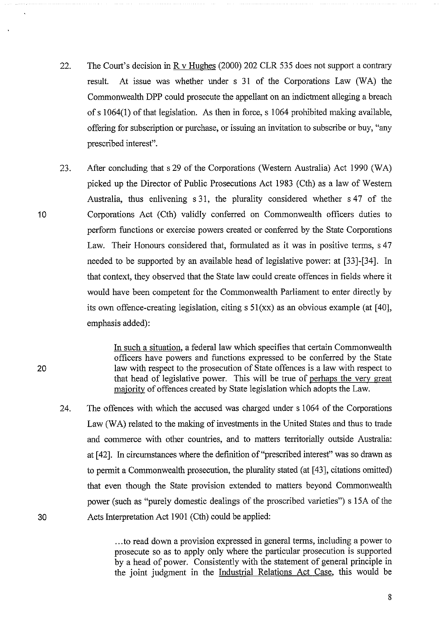- 22. The Court's decision in R v Hughes (2000) 202 CLR 535 does not support a contrary result. At issue was whether under s 31 of the Corporations Law (WA) the Commonwealth DPP could prosecute the appellant on an indictment alleging a breach of s 1 064(1) of that legislation. As then in force, s 1064 prohibited making available, offering for subscription or purchase, or issuing an invitation to subscribe or buy, "any prescribed interest".
- 23. After concluding that s 29 of the Corporations (Western Australia) Act 1990 (WA) picked up the Director of Public Prosecutions Act 1983 (Cth) as a law of Western Australia, thus enlivening s 31, the plurality considered whether s 47 of the Corporations Act (Cth) validly conferred on Conunonwealth officers duties to perform functions or exercise powers created or conferred by the State Corporations Law. Their Honours considered that, formulated as it was in positive terms, s 47 needed to be supported by an available head of legislative power: at [33]-[34]. In that context, they observed that the State law could create offences in fields where it would have been competent for the Commonwealth Parliament to enter directly by its own offence-creating legislation, citing s 51(xx) as an obvious example (at [40], emphasis added):

In such a situation, a federal law which specifies that certain Commonwealth officers have powers and functions expressed to be conferred by the State law with respect to the prosecution of State offences is a law with respect to that head of legislative power. This will be true of perhaps the very great majority of offences created by State legislation which adopts the Law.

24. The offences with which the accused was charged under s 1064 of the Corporations Law (WA) related to the making of investments in the United States and thus to trade and commerce with other countries, and to matters territorially outside Australia: at [42]. In circumstances where the definition of"prescribed interest" was so drawn as to permit a Commonwealth prosecution, the plurality stated (at [43], citations omitted) that even though the State provision extended to matters beyond Commonwealth power (such as "purely domestic dealings of the proscribed varieties") s 15A of the Acts Interpretation Act 1901 (Cth) could be applied:

> ... to read down a provision expressed in general terms, including a power to prosecute so as to apply only where the particular prosecution is supported by a head of power. Consistently with the statement of general principle in the joint judgment in the Industrial Relations Act Case, this would be

10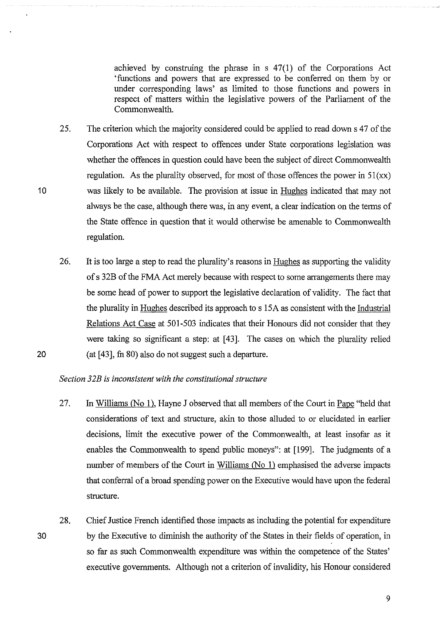achieved by construing the phrase in s 47(1) of the Corporations Act 'functions and powers that are expressed to be conferred on them by or under corresponding laws' as limited to those functions and powers in respect of matters within the legislative powers of the Parliament of the Commonwealth.

- 25. The criterion which the majority considered could be applied to read down s 47 of the Corporations Act with respect to offences tmder State corporations legislation was whether the offences in question could have been the subject of direct Commonwealth regulation. As the plurality observed, for most of those offences the power in  $51(xx)$ was likely to be available. The provision at issue in Hughes indicated that may not always be the case, although there was, in any event, a clear indication on the terms of the State offence in question that it would otherwise be amenable to Commonwealth regulation.
- 26. It is too large a step to read the plurality's reasons in Hughes as supporting the validity of s 32B of the FMA Act merely because with respect to some arrangements there may be some head of power to support the legislative declaration of validity. The fact that the plurality in Hughes described its approach to s 15A as consistent with the Industrial Relations Act Case at 501-503 indicates that their Honours did not consider that they were taking so significant a step: at [ 43]. The cases on which the plurality relied (at  $[43]$ , fn 80) also do not suggest such a departure.

## *Section 32B* is *inconsistent with the constitutional structure*

10

- 27. In Williams (No 1), Hayne J observed that all members of the Court in Pape "held that considerations of text and structure, akin to those alluded to or elucidated in earlier decisions, limit the executive power of the Commonwealth, at least insofar as it enables the Commonwealth to spend public moneys": at [199]. The judgments of a number of members of the Court in Williams  $(No 1)$  emphasised the adverse impacts that conferral of a broad spending power on the Executive would have upon the federal structure.
- 30 28. Chief Justice French identified those impacts as including the potential for expenditure by the Executive to diminish the authority of the States in their fields of operation, in so far as such Commonwealth expenditure was within the competence of the States' executive governments. Although not a criterion of invalidity, his Honour considered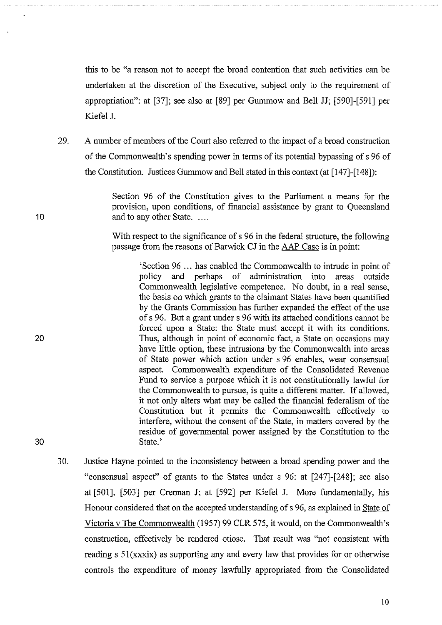this· to be "a reason not to accept the broad contention that such activities can be undertaken at the discretion of the Executive, subject only to the requirement of appropriation": at [37]; see also at [89] per Gummow and Bell JJ; [590]-[591] per Kiefel J.

29. A number of members of the Court also referred to the impact of a broad construction of the Commonwealth's spending power in terms of its potential bypassing of s 96 of the Constitution. Justices Gummow and Bell stated in this context (at [147]-[148]):

> Section 96 of the Constitution gives to the Parliament a means for the provision, upon conditions, of financial assistance by grant to Queensland and to any other State. ....

> With respect to the significance of s 96 in the federal structure, the following passage from the reasons of Barwick CJ in the AAP Case is in point:

'Section 96 ... has enabled the Commonwealth to intrude in point of policy and perhaps of administration into areas outside policy and perhaps of administration into areas outside Commonwealth legislative competence. No doubt, in a real sense, the basis on which grants to the claimant States have been quantified by the Grants Commission has further expanded the effect of the use of s 96. But a grant under s 96 with its attached conditions cannot be forced upon a State: the State must accept it with its conditions. Thus, although in point of economic fact, a State on occasions may have little option, these intrusions by the Commonwealth into areas of State power which action under s 96 enables, wear consensual aspect. Commonwealth expenditure of the Consolidated Revenue Fund to service a purpose which it is not constitutionally lawful for the Commonwealth to pursue, is quite a different matter. If allowed, it not only alters what may be called the financial federalism of the Constitution but it permits the Commonwealth effectively to interfere, without the consent of the State, in matters covered by the residue of govemmental power assigned by the Constitution to the State.'

30. Justice Hayne pointed to the inconsistency between a broad spending power and the "consensual aspect" of grants to the States under s 96: at [247]-[248]; see also at [501], [503] per Crennan J; at [592] per Kiefel J. More fundamentally, his Honour considered that on the accepted understanding of s 96, as explained in State of Victoria v The Commonwealth (1957) 99 CLR 575, it would, on the Commonwealth's construction, effectively be rendered otiose. That result was "not consistent with reading s 51(xxxix) as supporting any and every law that provides for or otherwise controls the expenditure of money lawfully appropriated from the Consolidated

10

20

30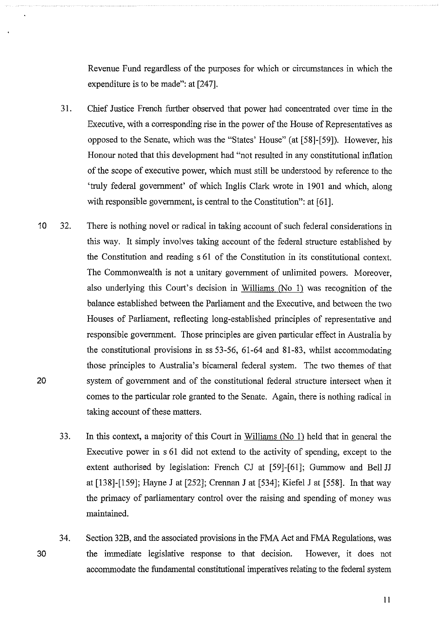Revenue Fund regardless of the purposes for which or circumstances in which the expenditure is to be made": at [247].

- 31. Chief Justice French further observed that power had concentrated over time in the Executive, with a corresponding rise in the power of the House of Representatives as opposed to the Senate, which was the "States' House" (at [58]-[ 59]). However, his Honour noted that this development had "not resulted in any constitutional inflation of the scope of executive power, which must still be understood by reference to the 'truly federal government' of which Inglis Clark wrote in 1901 and which, along with responsible government, is central to the Constitution": at [61].
- 10 32. There is nothing novel or radical in taking account of such federal considerations in this way. It simply involves taking account of the federal structure established by the Constitution and reading s 61 of the Constitution in its constitutional context. The Commonwealth is not a unitary government of unlimited powers. Moreover, also underlying this Court's decision in Williams (No I) was recognition of the balance established between the Parliament and the Executive, and between the two Houses of Parliament, reflecting long-established principles of representative and responsible government. Those principles are given particular effect in Australia by the constitutional provisions in ss 53-56, 61-64 and 81-83, whilst accommodating those principles to Australia's bicameral federal system. The two themes of that system of government and of the constitutional federal structure intersect when it comes to the particular role granted to the Senate. Again, there is nothing radical in taking account of these matters. 20
	- 33. In this context, a majority of this Court in Williams (No I) held that in general the Executive power in s 61 did not extend to the activity of spending, except to the extent authorised by legislation: French CJ at [59]-[61]; Gummow and Bell JJ at [138]-[159]; Hayne J at [252]; Crennan J at [534]; Kiefel J at [558]. In that way the primacy of parliamentary control over the raising and spending of money was maintained.
	- 34. Section 32B, and the associated provisions in the FMA Act and FMA Regulations, was the immediate legislative response to that decision. However, it does not accommodate the fundamental constitutional imperatives relating to the federal system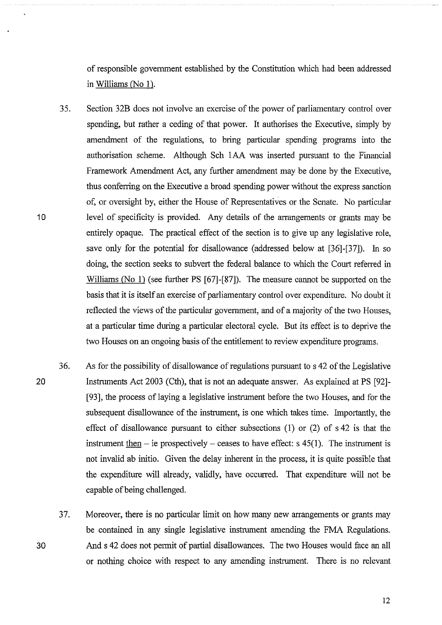of responsible government established by the Constitution which had been addressed in Williams (No 1).

- 35. Section 32B does not involve an exercise of the power of parliamentary control over spending, but rather a ceding of that power. It authorises the Executive, simply by amendment of the regulations, to bring particular spending programs into the authorisation scheme. Although Sch lAA was inserted pursuant to the Financial Framework Amendment Act, any further amendment may be done by the Executive, thus conferring on the Executive a broad spending power without the express sanction of, or oversight by, either the House of Representatives or the Senate. No particular level of specificity is provided. Any details of the arrangements or grants may be entirely opaque. The practical effect of the section is to give up any legislative role, save only for the potential for disallowance (addressed below at [36]-[37]). In so doing, the section seeks to subvert the federal balance to which the Court referred in Williams (No 1) (see further PS [67]-[87]). The measure cannot be supported on the basis that it is itself an exercise of parliamentary control over expenditure. No doubt it reflected the views of the particular government, and of a majority of the two Houses, at a particular time during a particular electoral cycle. But its effect is to deprive the two Houses on an ongoing basis of the entitlement to review expenditure programs.
- 36. As for the possibility of disallowance of regulations pursuant to s 42 of the Legislative Instruments Act 2003 (Cth), that is not an adequate answer. As explained at PS [92]- [93], the process of laying a legislative instrument before the two Houses, and for the subsequent disallowance of the instrument, is one which takes time. Importantly, the effect of disallowance pursuant to either subsections (1) or (2) of s 42 is that the instrument then  $-$  ie prospectively  $-$  ceases to have effect: s 45(1). The instrument is not invalid ab initio. Given the delay inherent in the process, it is quite possible that the expenditure will already, validly, have occurred. That expenditure will not be capable of being challenged.
	- 37. Moreover, there is no particular limit on how many new arrangements or grants may be contained in any single legislative instrument amending the FMA Regulations. And s 42 does not permit of partial disallowances. The two Houses would face an all or nothing choice with respect to any amending instrument. There is no relevant

10

20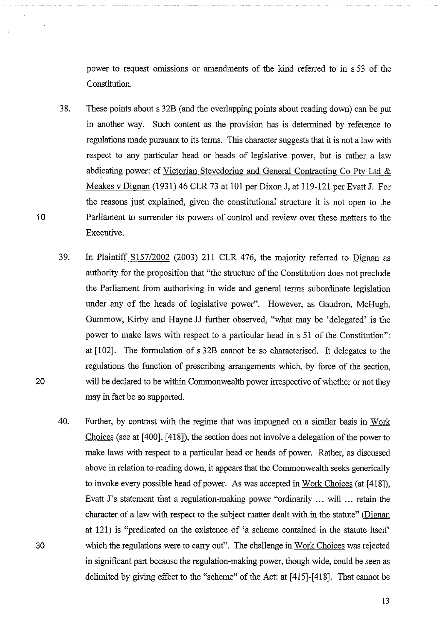power to request omissions or amendments of the kind referred to in s 53 of the Constitution.

- 38. These points about s 32B (and the overlapping points about reading down) can be put in another way. Such content as the provision has is determined by reference to regulations made pursuant to its terms. This character suggests that it is not a law with respect to any particular head or heads of legislative power, but is rather a law abdicating power: cf Victorian Stevedoring and General Contracting Co Pty Ltd & Meakes v Dignan (1931) 46 CLR 73 at 101 per Dixon J, at 119-121 per Evatt J. For the reasons just explained, given the constitutional structure it is not open to the Parliament to surrender its powers of control and review over these matters to the Executive.
- 39. In Plaintiff Sl57/2002 (2003) 211 CLR 476, the majority referred to Dignan as authority for the proposition that "the structure of the Constitution does not preclude the Parliament from authorising in wide and general terms subordinate legislation under any of the heads of legislative power". However, as Gaudron, McHugh, Gurnmow, Kirby and Hayne JJ further observed, "what may be 'delegated' is the power to make laws with respect to a particular head in s 51 of the Constitution": at [102]. The formulation of s 32B cannot be so characterised. It delegates to the regulations the function of prescribing arrangements which, by force of the section, will be declared to be within Commonwealth power irrespective of whether or not they may in fact be so supported.
- 40. Further, by contrast with the regime that was impugned on a similar basis in Work Choices (see at [ 400], [ 418]), the section does not involve a delegation of the power to make laws with respect to a particular head or heads of power. Rather, as discussed above in relation to reading down, it appears that the Commonwealth seeks generically to invoke every possible head of power. As was accepted in Work Choices (at [418]), Evatt J's statement that a regulation-making power "ordinarily ... will ... retain the character of a law with respect to the subject matter dealt with in the statute" (Dignan at 121) is "predicated on the existence of 'a scheme contained in the statute itself which the regulations were to carry out". The challenge in Work Choices was rejected in significant part because the regulation-making power, though wide, could be seen as delimited by giving effect to the "scheme" of the Act: at [ 415]-[ 418]. That cannot be

20

30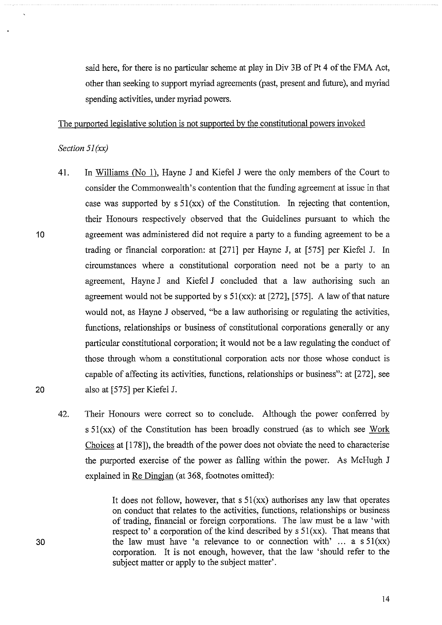said here, for there is no particular scheme at play in Div 3B of Pt 4 of the FMA Act, other than seeking to support myriad agreements (past, present and future), and myriad spending activities, under myriad powers.

The purported legislative solution is not supported by the constitutional powers invoked

#### *Section 51 (xx)*

- 41. In Williams (No 1), Hayne J and Kiefel J were the only members of the Court to consider the Commonwealth's contention that the funding agreement at issue in that case was supported by  $s \, 51(xx)$  of the Constitution. In rejecting that contention, their Honours respectively observed that the Guidelines pursuant to which the agreement was administered did not require a party to a funding agreement to be a trading or financial corporation: at [271] per Hayne J, at [575] per Kiefel J. In circumstances where a constitutional corporation need not be a party to an agreement, Hayne J and Kiefel J concluded that a law authorising such an agreement would not be supported by  $s 51(xx)$ : at [272], [575]. A law of that nature would not, as Hayne J observed, "be a law authorising or regulating the activities, functions, relationships or business of constitutional corporations generally or any particular constitutional corporation; it would not be a law regulating the conduct of those through whom a constitutional corporation acts nor those whose conduct is capable of affecting its activities, functions, relationships or business": at [272], see also at [575] per Kiefel J.
- 42. Their Honours were correct so to conclude. Although the power conferred by  $s 51(xx)$  of the Constitution has been broadly construed (as to which see Work Choices at [178]), the breadth of the power does not obviate the need to characterise the purported exercise of the power as falling within the power. As McHugh J explained in Re Dingjan (at 368, footnotes omitted):

It does not follow, however, that  $s \frac{51}{x}$  authorises any law that operates on conduct that relates to the activities, functions, relationships or business of trading, financial or foreign corporations. The law must be a law 'with respect to' a corporation of the kind described by  $s \, 51(xx)$ . That means that the law must have 'a relevance to or connection with'  $\ldots$  a s 51(xx) corporation. It is not enough, however, that the law 'should refer to the subject matter or apply to the subject matter'.

20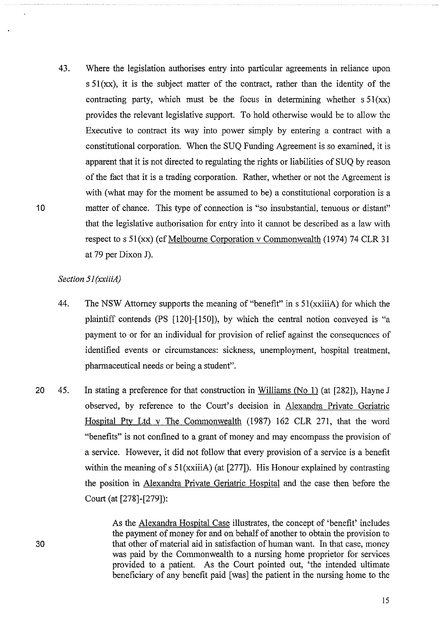43. Where the legislation authorises entry into particular agreements in reliance upon  $s 51$ (xx), it is the subject matter of the contract, rather than the identity of the contracting party, which must be the focus in determining whether  $s \frac{51}{xx}$ provides the relevant legislative support. To hold otherwise would be to allow the Executive to contract its way into power simply by entering a contract with a constitutional corporation. When the SUQ Funding Agreement is so examined, it is apparent that it is not directed to regulating the rights or liabilities of SUQ by reason of the fact that it is a trading corporation. Rather, whether or not the Agreement is with (what may for the moment be assumed to be) a constitutional corporation is a matter of chance. This type of connection is "so insubstantial, tenuous or distant" that the legislative authorisation for entry into it carmot be described as a law with respect to s  $51(xx)$  (cf Melbourne Corporation v Commonwealth (1974) 74 CLR 31 at 79 per Dixon J).

# *Section 51 (xxiiiA)*

- 44. The NSW Attorney supports the meaning of "benefit" in s 51(xxiiiA) for which the plaintiff contends (PS [120]-[150]), by which the central notion conveyed is "a payment to or for an individual for provision of relief against the consequences of identified events or circumstances: sickness, unemployment, hospital treatment, pharmaceutical needs or being a student".
- 20 45. In stating a preference for that construction in Williams (No 1) (at [282]), Hayne J observed, by reference to the Court's decision in Alexandra Private Geriatric Hospital Pty Ltd v The Commonwealth (1987) 162 CLR 271, that the word "benefits" is not confined to a grant of money and may encompass the provision of a service. However, it did not follow that every provision of a service is a benefit within the meaning of s 51(xxiiiA) (at [277]). His Honour explained by contrasting the position in Alexandra Private Geriatric Hospital and the case then before the Court (at [278]-[279]):

As the Alexandra Hospital Case illustrates, the concept of 'benefit' includes the payment of money for and on behalf of another to obtain the provision to that other of material aid in satisfaction of human want. In that case, money was paid by the Commonwealth to a nursing home proprietor for services provided to a patient. As the Court pointed out, 'the intended ultimate beneficiary of any benefit paid [was] the patient in the nursing home to the

10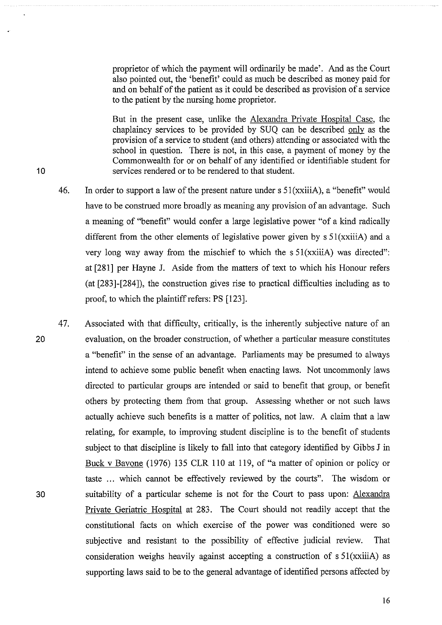proprietor of which the payment will ordinarily be made'. And as the Court also pointed out, the 'benefit' could as much be described as money paid for and on behalf of the patient as it could be described as provision of a service to the patient by the nursing home proprietor.

But in the present case, unlike the Alexandra Private Hospital Case, the chaplaincy services to be provided by SUQ can be described only as the provision of a service to student (and others) attending or associated with the school in question. There is not, in this case, a payment of money by the Commonwealth for or on behalf of any identified or identifiable student for services rendered or to be rendered to that student.

- 46. In order to support a law of the present nature under  $s 51(xxiiiA)$ , a "benefit" would have to be construed more broadly as meaning any provision of an advantage. Such a meaning of "benefit" would confer a large legislative power "of a kind radically different from the other elements of legislative power given by  $s 51(xxiiiA)$  and a very long way away from the mischief to which the s  $51(xxii)$  was directed": at [281] per Hayne J. Aside from the matters of text to which his Honour refers (at [283]-[284]), the construction gives rise to practical difficulties including as to proof, to which the plaintiff refers: PS [123].
- 47. Associated with that difficulty, critically, is the inherently subjective nature of an evaluation, on the broader construction, of whether a particular measure constitutes a "benefit" in the sense of an advantage. Parliaments may be presumed to always intend to achieve some public benefit when enacting laws. Not uncommonly laws directed to particular groups are intended or said to benefit that group, or benefit others by protecting them from that group. Assessing whether or not such laws actually achieve such benefits is a matter of politics, not law. A claim that a law relating, for example, to improving student discipline is to the benefit of students subject to that discipline is likely to fall into that category identified by Gibbs J in Buck v Bavone (1976) 135 CLR 110 at 119, of "a matter of opinion or policy or taste ... which cannot be effectively reviewed by the courts". The wisdom or suitability of a particular scheme is not for the Court to pass upon: Alexandra Private Geriatric Hospital at 283. The Court should not readily accept that the constitutional facts on which exercise of the power was conditioned were so subjective and resistant to the possibility of effective judicial review. That consideration weighs heavily against accepting a construction of s 51(xxiiiA) as supporting laws said to be to the general advantage of identified persons affected by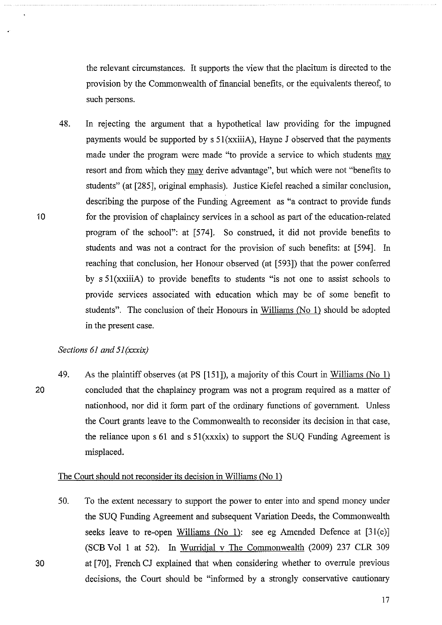the relevant circumstances. It supports the view that the placitum is directed to the provision by the Commonwealth of financial benefits, or the equivalents thereof, to such persons.

48. In rejecting the argument that a hypothetical law providing for the impugned payments would be supported by  $s 51(xxiiiA)$ , Hayne J observed that the payments made under the program were made "to provide a service to which students may resort and from which they may derive advantage", but which were not "benefits to students" (at [285], original emphasis). Justice Kiefel reached a similar conclusion, describing the purpose of the Funding Agreement as "a contract to provide funds for the provision of chaplaincy services in a school as part of the education-related program of the school": at [574]. So construed, it did not provide benefits to students and was not a contract for the provision of such benefits: at [594]. In reaching that conclusion, her Honour observed (at [593]) that the power conferred by s 51(xxiiiA) to provide benefits to students "is not one to assist schools to provide services associated with education which may be of some benefit to students". The conclusion of their Honours in Williams (No 1) should be adopted in the present case.

# *Sections 61 and 51 (xxxix)*

20 49. As the plaintiff observes (at PS [151]), a majority of this Court in Williams (No 1) concluded that the chaplaincy program was not a program required as a matter of nationhood, nor did it form part of the ordinary functions of government. Unless the Court grants leave to the Conunonwealth to reconsider its decision in that case, the reliance upon  $s \, 61$  and  $s \, 51(xxxix)$  to support the SUQ Funding Agreement is misplaced.

# The Court should not reconsider its decision in Williams (No 1)

50. To the extent necessary to support the power to enter into and spend money under the SUQ Funding Agreement and subsequent Variation Deeds, the Commonwealth seeks leave to re-open Williams (No 1): see eg Amended Defence at [31(c)] (SCB Vol 1 at 52). In Wurridjal v The Commonwealth (2009) 237 CLR 309 at [70], French CJ explained that when considering whether to overrule previous decisions, the Court should be "informed by a strongly conservative cautionary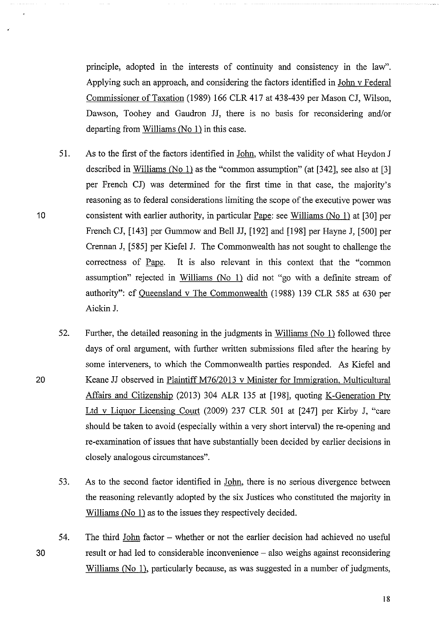principle, adopted in the interests of continuity and consistency in the law". Applying such an approach, and considering the factors identified in John v Federal Commissioner of Taxation (1989) 166 CLR 417 at 438-439 per Mason CJ, Wilson, Dawson, Toohey and Gaudron JJ, there is no basis for reconsidering and/or departing from Williams  $(N<sub>0</sub> 1)$  in this case.

- 51. As to the first of the factors identified in John, whilst the validity of what Heydon J described in Williams (No 1) as the "common assumption" (at [342], see also at [3] per French CJ) was determined for the first time in that case, the majority's reasoning as to federal considerations limiting the scope of the executive power was consistent with earlier authority, in particular Pape: see Williams (No 1) at [30] per French CJ, [143] per Gummow and Bell JJ, [192] and [198] per Hayne J, [500] per Crennan J, [585] per Kiefel J. The Commonwealth has not sought to challenge the correctness of Pape. It is also relevant in this context that the "common assumption" rejected in Williams (No 1) did not "go with a definite stream of authority": cf Queensland v The Commonwealth (1988) 139 CLR 585 at 630 per Aickin J.
- 52. Further, the detailed reasoning in the judgments in Williams (No 1) followed three days of oral argument, with further written submissions filed after the hearing by some interveners, to which the Commonwealth parties responded. As Kiefel and Keane JJ observed in Plaintiff M76/2013 v Minister for Immigration, Multicultural Affairs and Citizenship (2013) 304 ALR 135 at [198], quoting K-Generation Pty Ltd v Liquor Licensing Court (2009) 237 CLR 501 at [247] per Kirby J, "care should be taken to avoid (especially within a very short interval) the re-opening and re-examination of issues that have substantially been decided by earlier decisions in closely analogous circumstances".
- 53. As to the second factor identified in John, there is no serious divergence between the reasoning relevantly adopted by the six Justices who constituted the majority in Williams (No 1) as to the issues they respectively decided.
- 30 54. The third John factor - whether or not the earlier decision had achieved no useful result or had led to considerable inconvenience – also weighs against reconsidering Williams (No 1), particularly because, as was suggested in a number of judgments,

10